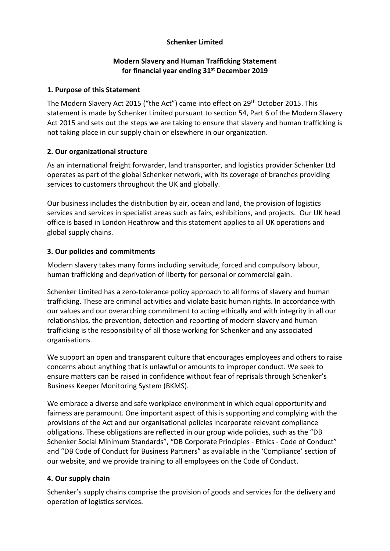# **Schenker Limited**

## **Modern Slavery and Human Trafficking Statement for financial year ending 31st December 2019**

#### **1. Purpose of this Statement**

The Modern Slavery Act 2015 ("the Act") came into effect on 29th October 2015. This statement is made by Schenker Limited pursuant to section 54, Part 6 of the Modern Slavery Act 2015 and sets out the steps we are taking to ensure that slavery and human trafficking is not taking place in our supply chain or elsewhere in our organization.

## **2. Our organizational structure**

As an international freight forwarder, land transporter, and logistics provider Schenker Ltd operates as part of the global Schenker network, with its coverage of branches providing services to customers throughout the UK and globally.

Our business includes the distribution by air, ocean and land, the provision of logistics services and services in specialist areas such as fairs, exhibitions, and projects. Our UK head office is based in London Heathrow and this statement applies to all UK operations and global supply chains.

# **3. Our policies and commitments**

Modern slavery takes many forms including servitude, forced and compulsory labour, human trafficking and deprivation of liberty for personal or commercial gain.

Schenker Limited has a zero-tolerance policy approach to all forms of slavery and human trafficking. These are criminal activities and violate basic human rights. In accordance with our values and our overarching commitment to acting ethically and with integrity in all our relationships, the prevention, detection and reporting of modern slavery and human trafficking is the responsibility of all those working for Schenker and any associated organisations.

We support an open and transparent culture that encourages employees and others to raise concerns about anything that is unlawful or amounts to improper conduct. We seek to ensure matters can be raised in confidence without fear of reprisals through Schenker's Business Keeper Monitoring System (BKMS).

We embrace a diverse and safe workplace environment in which equal opportunity and fairness are paramount. One important aspect of this is supporting and complying with the provisions of the Act and our organisational policies incorporate relevant compliance obligations. These obligations are reflected in our group wide policies, such as the "DB Schenker Social Minimum Standards", "DB Corporate Principles - Ethics - Code of Conduct" and "DB Code of Conduct for Business Partners" as available in the 'Compliance' section of our website, and we provide training to all employees on the Code of Conduct.

## **4. Our supply chain**

Schenker's supply chains comprise the provision of goods and services for the delivery and operation of logistics services.